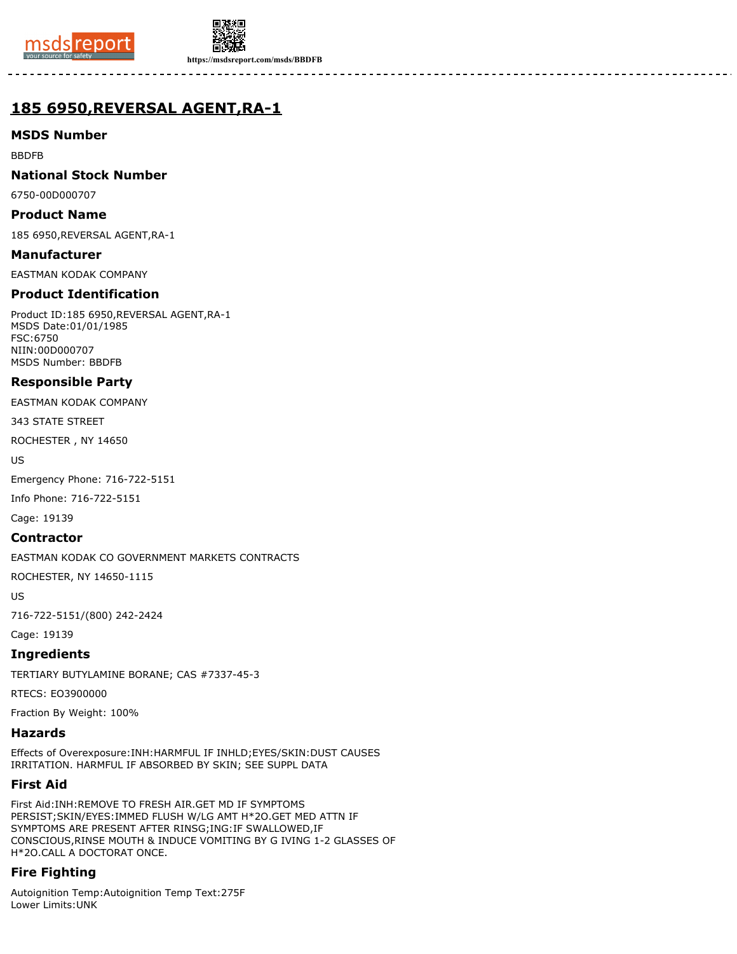



**https://msdsreport.com/msds/BBDFB**

# **185 6950,REVERSAL AGENT,RA-1**

### **MSDS Number**

BBDFB

### **National Stock Number**

6750-00D000707

### **Product Name**

185 6950,REVERSAL AGENT,RA-1

## **Manufacturer**

EASTMAN KODAK COMPANY

### **Product Identification**

Product ID:185 6950,REVERSAL AGENT,RA-1 MSDS Date:01/01/1985 FSC:6750 NIIN:00D000707 MSDS Number: BBDFB

### **Responsible Party**

EASTMAN KODAK COMPANY

343 STATE STREET

ROCHESTER , NY 14650

US

Emergency Phone: 716-722-5151

Info Phone: 716-722-5151

Cage: 19139

#### **Contractor**

EASTMAN KODAK CO GOVERNMENT MARKETS CONTRACTS

ROCHESTER, NY 14650-1115

US

716-722-5151/(800) 242-2424

Cage: 19139

### **Ingredients**

TERTIARY BUTYLAMINE BORANE; CAS #7337-45-3

RTECS: EO3900000

Fraction By Weight: 100%

### **Hazards**

Effects of Overexposure:INH:HARMFUL IF INHLD;EYES/SKIN:DUST CAUSES IRRITATION. HARMFUL IF ABSORBED BY SKIN; SEE SUPPL DATA

### **First Aid**

First Aid:INH:REMOVE TO FRESH AIR.GET MD IF SYMPTOMS PERSIST;SKIN/EYES:IMMED FLUSH W/LG AMT H\*2O.GET MED ATTN IF SYMPTOMS ARE PRESENT AFTER RINSG;ING:IF SWALLOWED,IF CONSCIOUS,RINSE MOUTH & INDUCE VOMITING BY G IVING 1-2 GLASSES OF H\*2O.CALL A DOCTORAT ONCE.

## **Fire Fighting**

Autoignition Temp:Autoignition Temp Text:275F Lower Limits:UNK